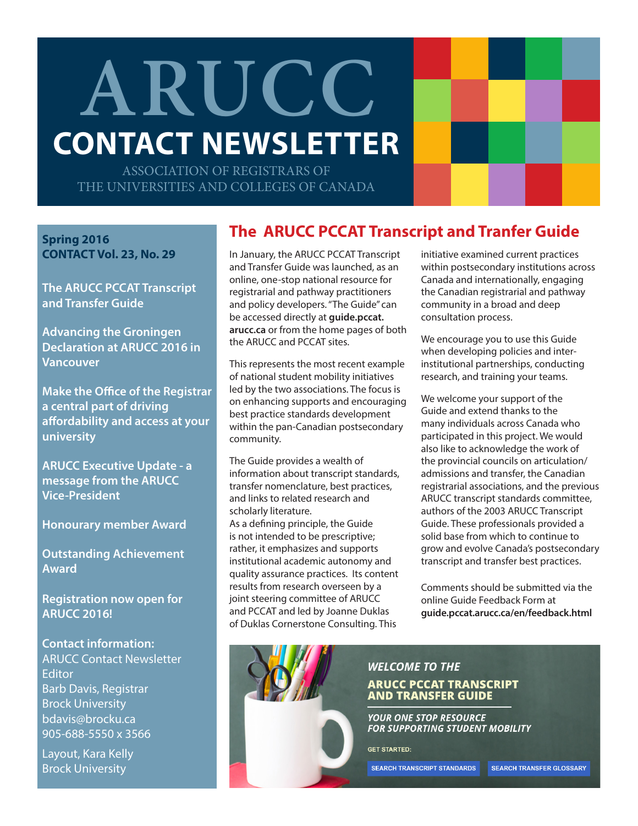# **ARUCC CONTACT NEWSLETTER**

ASSOCIATION OF REGISTRARS OF THE UNIVERSITIES AND COLLEGES OF CANADA

**Spring 2016 CONTACT Vol. 23, No. 29**

**The ARUCC PCCAT Transcript and Transfer Guide**

**Advancing the Groningen Declaration at ARUCC 2016 in Vancouver**

**Make the Office of the Registrar a central part of driving affordability and access at your university**

**ARUCC Executive Update - a message from the ARUCC Vice-President**

**Honourary member Award**

**Outstanding Achievement Award**

**Registration now open for ARUCC 2016!**

**Contact information:** ARUCC Contact Newsletter **Editor** Barb Davis, Registrar Brock University bdavis@brocku.ca 905-688-5550 x 3566

Layout, Kara Kelly Brock University

## **The ARUCC PCCAT Transcript and Tranfer Guide**

In January, the ARUCC PCCAT Transcript and Transfer Guide was launched, as an online, one-stop national resource for registrarial and pathway practitioners and policy developers. "The Guide" can be accessed directly at **guide.pccat. arucc.ca** [or from the home pages of](http://guide.pccat.arucc.ca) both the [ARUCC](www.arucc.ca/en/) and [PCCAT](http://pccatweb.org) sites.

This represents the most recent example of national student mobility initiatives led by the two associations. The focus is on enhancing supports and encouraging best practice standards development within the pan-Canadian postsecondary community.

The Guide provides a wealth of information about transcript standards, transfer nomenclature, best practices, and links to related research and scholarly literature.

As a defining principle, the Guide is not intended to be prescriptive; rather, it emphasizes and supports institutional academic autonomy and quality assurance practices. Its content results from research overseen by a joint steering committee of ARUCC and PCCAT and led by Joanne Duklas of Duklas Cornerstone Consulting. This



We encourage you to use this Guide when developing policies and interinstitutional partnerships, conducting research, and training your teams.

We welcome your support of the Guide and extend thanks to the many individuals across Canada who participated in this project. We would also like to acknowledge the work of the provincial councils on articulation/ admissions and transfer, the Canadian registrarial associations, and the previous ARUCC transcript standards committee, authors of the 2003 ARUCC Transcript Guide. These professionals provided a solid base from which to continue to grow and evolve Canada's postsecondary transcript and transfer best practices.

Comments should be submitted via the online Guide Feedback Form at **[guide.pccat.arucc.ca/en/feedback.html](http://guide.pccat.arucc.ca/en/feedback.html)**

## **WELCOME TO THE ARUCC PCCAT TRANSCRIPT AND TRANSFER GUIDE**

**YOUR ONE STOP RESOURCE FOR SUPPORTING STUDENT MOBILITY** 

**GET STARTED:** 

**SEARCH TRANSCRIPT STANDARDS** 

SEARCH TRANSFER GLOSSARY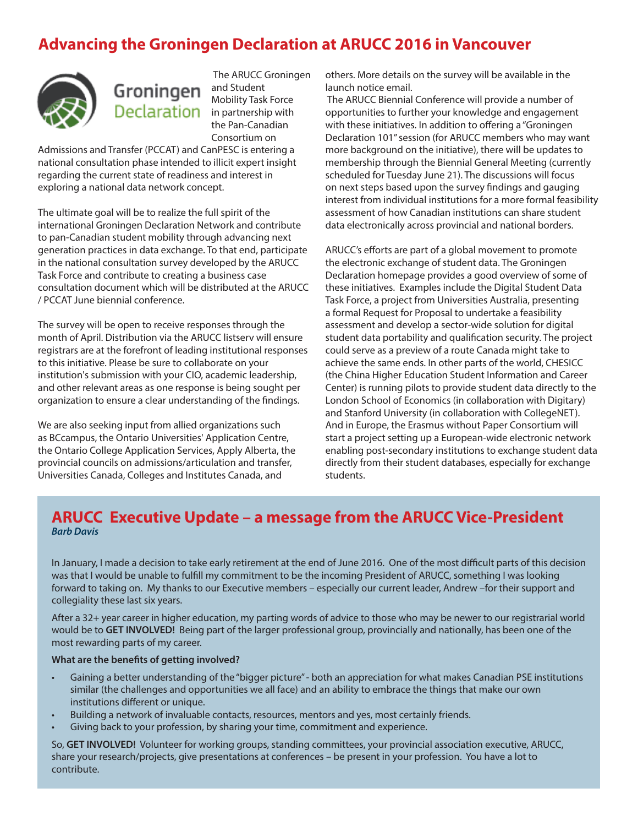# **Advancing the Groningen Declaration at ARUCC 2016 in Vancouver**



Groningen Declaration in partnership with

 The ARUCC Groningen and Student Mobility Task Force the Pan-Canadian Consortium on

Admissions and Transfer (PCCAT) and CanPESC is entering a national consultation phase intended to illicit expert insight regarding the current state of readiness and interest in exploring a national data network concept.

The ultimate goal will be to realize the full spirit of the international Groningen Declaration Network and contribute to pan-Canadian student mobility through advancing next generation practices in data exchange. To that end, participate in the national consultation survey developed by the ARUCC Task Force and contribute to creating a business case [consultation document which will be distributed at the ARUCC](http://www.arucc.ca/en/conference/2016-conference.html) / PCCAT June biennial conference.

The survey will be open to receive responses through the month of April. Distribution via the ARUCC listserv will ensure registrars are at the forefront of leading institutional responses to this initiative. Please be sure to collaborate on your institution's submission with your CIO, academic leadership, and other relevant areas as one response is being sought per organization to ensure a clear understanding of the findings.

We are also seeking input from allied organizations such as BCcampus, the Ontario Universities' Application Centre, the Ontario College Application Services, Apply Alberta, the provincial councils on admissions/articulation and transfer, Universities Canada, Colleges and Institutes Canada, and

others. More details on the survey will be available in the launch notice email.

 The ARUCC Biennial Conference will provide a number of opportunities to further your knowledge and engagement with these initiatives. In addition to offering a "Groningen Declaration 101" session (for ARUCC members who may want more background on the initiative), there will be updates to membership through the Biennial General Meeting (currently scheduled for Tuesday June 21). The discussions will focus on next steps based upon the survey findings and gauging interest from individual institutions for a more formal feasibility assessment of how Canadian institutions can share student data electronically across provincial and national borders.

ARUCC's efforts are part of a global movement to promote the electronic exchange of student data. The Groningen Declaration homepage provides a good overview of some of these initiatives. Examples include the Digital Student Data Task Force, a project from Universities Australia, presenting a formal Request for Proposal to undertake a feasibility assessment and develop a sector-wide solution for digital student data portability and qualification security. The project could serve as a preview of a route Canada might take to achieve the same ends. In other parts of the world, CHESICC (the China Higher Education Student Information and Career Center) is running pilots to provide student data directly to the London School of Economics (in collaboration with Digitary) and Stanford University (in collaboration with CollegeNET). And in Europe, the Erasmus without Paper Consortium will start a project setting up a European-wide electronic network enabling post-secondary institutions to exchange student data directly from their student databases, especially for exchange students.

## **ARUCC Executive Update – a message from the ARUCC Vice-President** *Barb Davis*

In January, I made a decision to take early retirement at the end of June 2016. One of the most difficult parts of this decision was that I would be unable to fulfill my commitment to be the incoming President of ARUCC, something I was looking forward to taking on. My thanks to our Executive members – especially our current leader, Andrew –for their support and collegiality these last six years.

After a 32+ year career in higher education, my parting words of advice to those who may be newer to our registrarial world would be to **GET INVOLVED!** Being part of the larger professional group, provincially and nationally, has been one of the most rewarding parts of my career.

#### **What are the benefits of getting involved?**

- Gaining a better understanding of the "bigger picture" both an appreciation for what makes Canadian PSE institutions similar (the challenges and opportunities we all face) and an ability to embrace the things that make our own institutions different or unique.
- Building a network of invaluable contacts, resources, mentors and yes, most certainly friends.
- Giving back to your profession, by sharing your time, commitment and experience.

So, **GET INVOLVED!** Volunteer for working groups, standing committees, your provincial association executive, ARUCC, share your research/projects, give presentations at conferences – be present in your profession. You have a lot to contribute.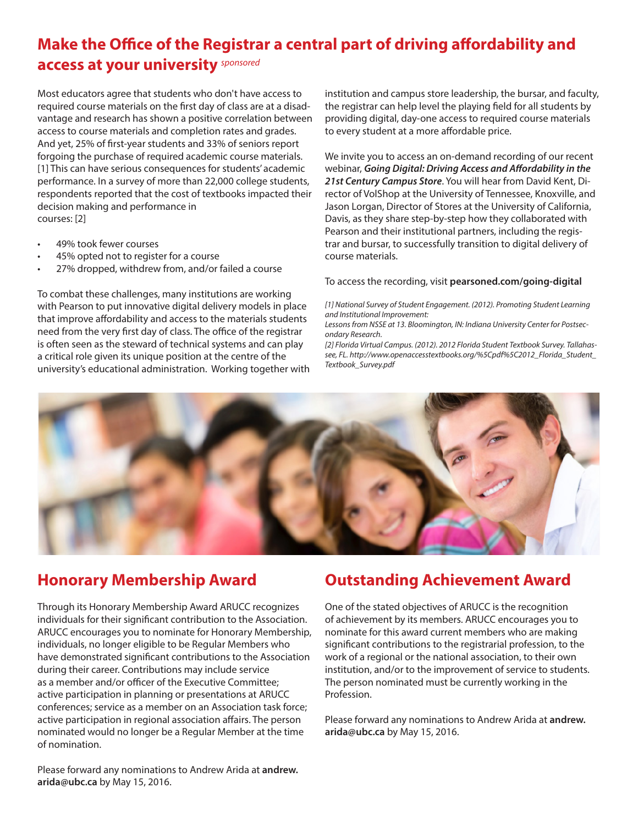# **Make the Office of the Registrar a central part of driving affordability and**

## **access at your university** *sponsored*

Most educators agree that students who don't have access to required course materials on the first day of class are at a disadvantage and research has shown a positive correlation between access to course materials and completion rates and grades. And yet, 25% of first-year students and 33% of seniors report forgoing the purchase of required academic course materials. [1] This can have serious consequences for students' academic performance. In a survey of more than 22,000 college students, respondents reported that the cost of textbooks impacted their decision making and performance in courses: [2]

- 49% took fewer courses
- 45% opted not to register for a course
- 27% dropped, withdrew from, and/or failed a course

To combat these challenges, many institutions are working with Pearson to put innovative digital delivery models in place that improve affordability and access to the materials students need from the very first day of class. The office of the registrar is often seen as the steward of technical systems and can play a critical role given its unique position at the centre of the university's educational administration. Working together with institution and campus store leadership, the bursar, and faculty, the registrar can help level the playing field for all students by providing digital, day-one access to required course materials to every student at a more affordable price.

We invite you to access an on-demand recording of our recent webinar, *Going Digital: Driving Access and Affordability in the 21st Century Campus Store*. You will hear from David Kent, Director of VolShop at the University of Tennessee, Knoxville, and Jason Lorgan, Director of Stores at the University of California, Davis, as they share step-by-step how they collaborated with Pearson and their institutional partners, including the registrar and bursar, to successfully transition to digital delivery of course materials.

#### To access the recording, visit **[pearsoned.com/going-digital](http://pearsoned.com/going-digital)**

*[1] National Survey of Student Engagement. (2012). Promoting Student Learning and Institutional Improvement:*

*Lessons from NSSE at 13. Bloomington, IN: Indiana University Center for Postsecondary Research.*

*[2] Florida Virtual Campus. (2012). 2012 Florida Student Textbook Survey. Tallahassee, FL. http://www.openaccesstextbooks.org/%5Cpdf%5C2012\_Florida\_Student\_ Textbook\_Survey.pdf*



# **Honorary Membership Award**

Through its Honorary Membership Award ARUCC recognizes individuals for their significant contribution to the Association. ARUCC encourages you to nominate for Honorary Membership, individuals, no longer eligible to be Regular Members who have demonstrated significant contributions to the Association during their career. Contributions may include service as a member and/or officer of the Executive Committee; active participation in planning or presentations at ARUCC conferences; service as a member on an Association task force; active participation in regional association affairs. The person nominated would no longer be a Regular Member at the time of nomination.

Please forward any nominations to Andrew Arida at **andrew. arida@ubc.ca** by May 15, 2016.

# **Outstanding Achievement Award**

One of the stated objectives of ARUCC is the recognition of achievement by its members. ARUCC encourages you to nominate for this award current members who are making significant contributions to the registrarial profession, to the work of a regional or the national association, to their own institution, and/or to the improvement of service to students. The person nominated must be currently working in the Profession.

Please forward any nominations to Andrew Arida at **andrew. arida@ubc.ca** by May 15, 2016.